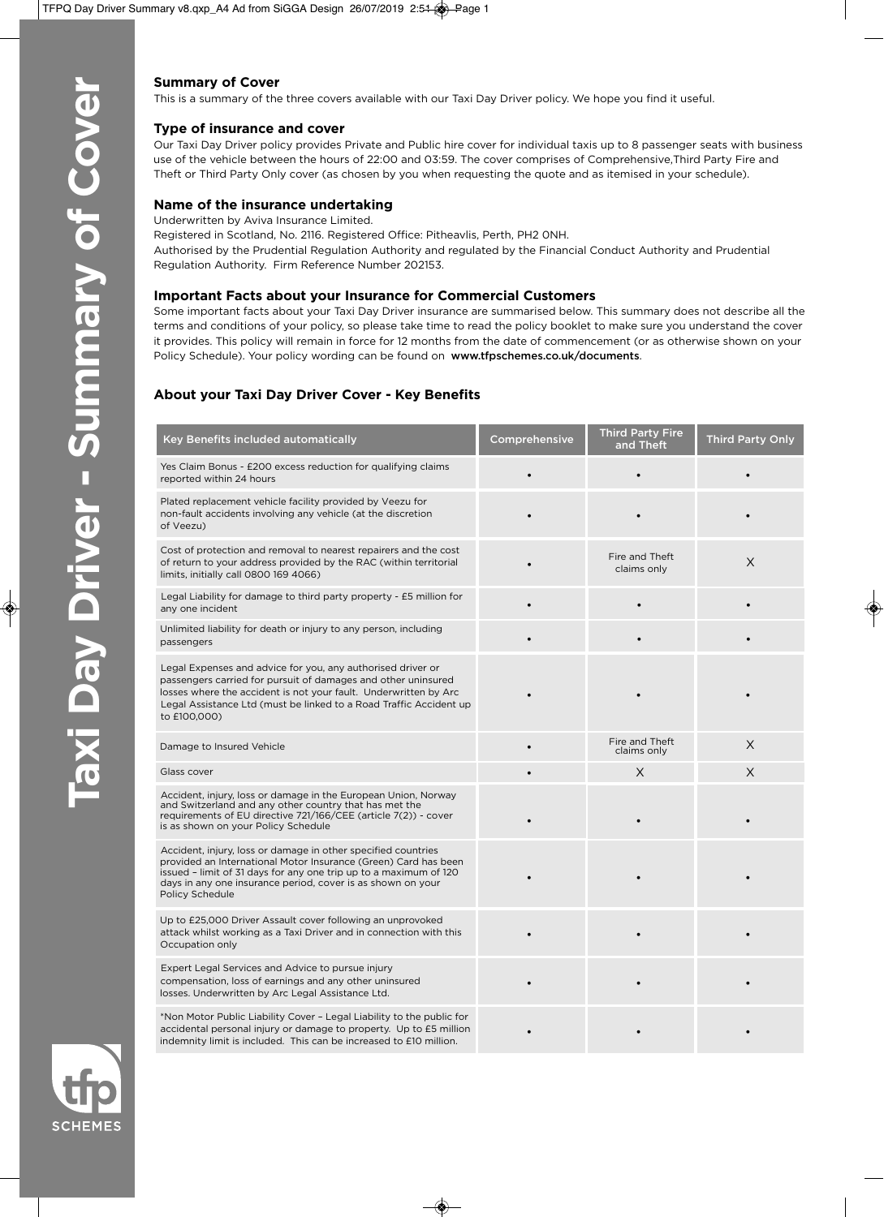## **Summary of Cover**

This is a summary of the three covers available with our Taxi Day Driver policy. We hope you find it useful.

#### **Type of insurance and cover**

Our Taxi Day Driver policy provides Private and Public hire cover for individual taxis up to 8 passenger seats with business use of the vehicle between the hours of 22:00 and 03:59. The cover comprises of Comprehensive,Third Party Fire and Theft or Third Party Only cover (as chosen by you when requesting the quote and as itemised in your schedule).

### **Name of the insurance undertaking**

Underwritten by Aviva Insurance Limited.

Registered in Scotland, No. 2116. Registered Office: Pitheavlis, Perth, PH2 0NH. Authorised by the Prudential Regulation Authority and regulated by the Financial Conduct Authority and Prudential Regulation Authority. Firm Reference Number 202153.

#### **Important Facts about your Insurance for Commercial Customers**

Some important facts about your Taxi Day Driver insurance are summarised below. This summary does not describe all the terms and conditions of your policy, so please take time to read the policy booklet to make sure you understand the cover it provides. This policy will remain in force for 12 months from the date of commencement (or as otherwise shown on your Policy Schedule). Your policy wording can be found on www.tfpschemes.co.uk/documents.

## **About your Taxi Day Driver Cover - Key Benefits**

| Key Benefits included automatically                                                                                                                                                                                                                                                     | Comprehensive | <b>Third Party Fire</b><br>and Theft | <b>Third Party Only</b> |
|-----------------------------------------------------------------------------------------------------------------------------------------------------------------------------------------------------------------------------------------------------------------------------------------|---------------|--------------------------------------|-------------------------|
| Yes Claim Bonus - £200 excess reduction for qualifying claims<br>reported within 24 hours                                                                                                                                                                                               |               |                                      |                         |
| Plated replacement vehicle facility provided by Veezu for<br>non-fault accidents involving any vehicle (at the discretion<br>of Veezu)                                                                                                                                                  |               |                                      |                         |
| Cost of protection and removal to nearest repairers and the cost<br>of return to your address provided by the RAC (within territorial<br>limits, initially call 0800 169 4066)                                                                                                          |               | Fire and Theft<br>claims only        | X                       |
| Legal Liability for damage to third party property - £5 million for<br>any one incident                                                                                                                                                                                                 |               |                                      |                         |
| Unlimited liability for death or injury to any person, including<br>passengers                                                                                                                                                                                                          |               |                                      |                         |
| Legal Expenses and advice for you, any authorised driver or<br>passengers carried for pursuit of damages and other uninsured<br>losses where the accident is not your fault. Underwritten by Arc<br>Legal Assistance Ltd (must be linked to a Road Traffic Accident up<br>to £100,000)  |               |                                      |                         |
| Damage to Insured Vehicle                                                                                                                                                                                                                                                               |               | Fire and Theft<br>claims only        | X                       |
| Glass cover                                                                                                                                                                                                                                                                             |               | X                                    | X                       |
| Accident, injury, loss or damage in the European Union, Norway<br>and Switzerland and any other country that has met the<br>requirements of EU directive 721/166/CEE (article 7(2)) - cover<br>is as shown on your Policy Schedule                                                      |               |                                      |                         |
| Accident, injury, loss or damage in other specified countries<br>provided an International Motor Insurance (Green) Card has been<br>issued - limit of 31 days for any one trip up to a maximum of 120<br>days in any one insurance period, cover is as shown on your<br>Policy Schedule |               |                                      |                         |
| Up to £25,000 Driver Assault cover following an unprovoked<br>attack whilst working as a Taxi Driver and in connection with this<br>Occupation only                                                                                                                                     |               |                                      |                         |
| Expert Legal Services and Advice to pursue injury<br>compensation, loss of earnings and any other uninsured<br>losses. Underwritten by Arc Legal Assistance Ltd.                                                                                                                        |               |                                      |                         |
| *Non Motor Public Liability Cover - Legal Liability to the public for<br>accidental personal injury or damage to property. Up to £5 million<br>indemnity limit is included. This can be increased to £10 million.                                                                       |               |                                      |                         |

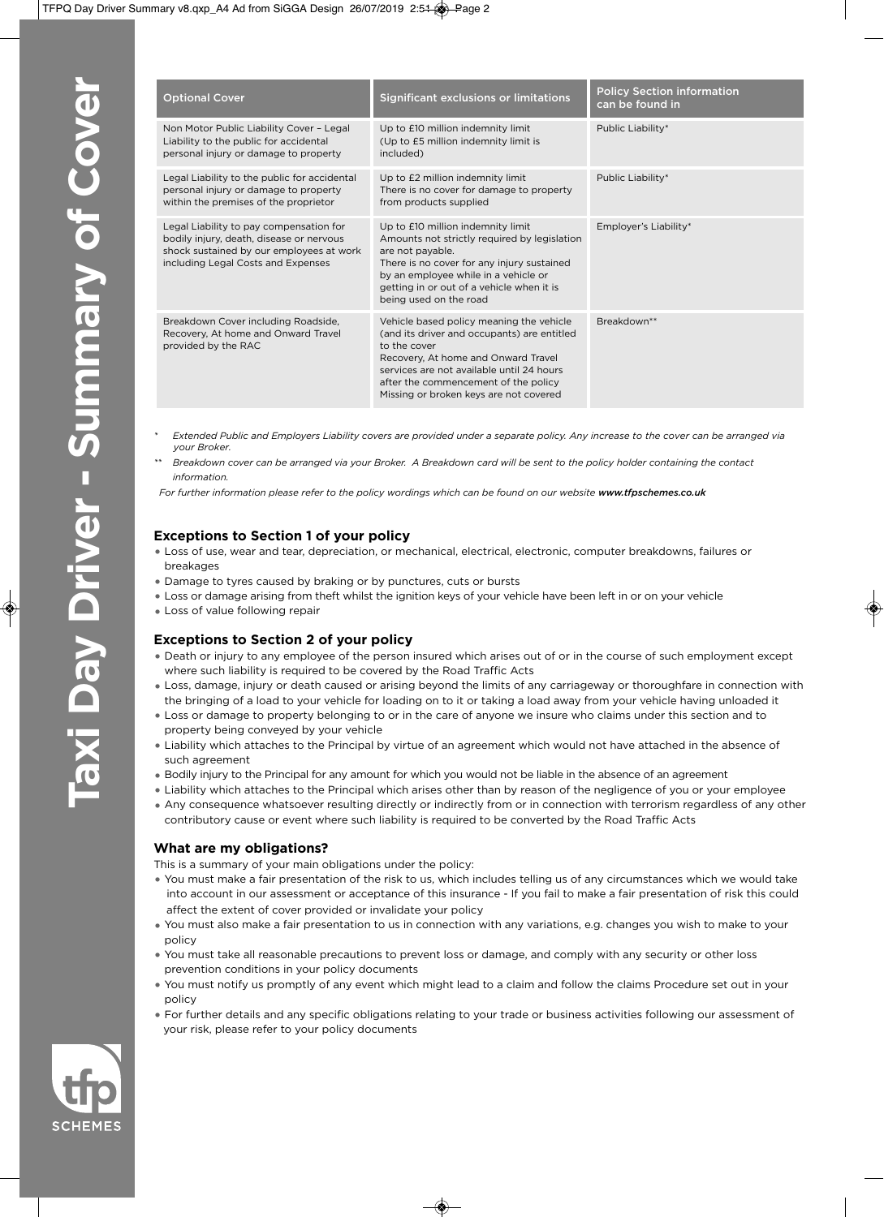| <b>Optional Cover</b>                                                                                                                                                 | Significant exclusions or limitations                                                                                                                                                                                                                                         | <b>Policy Section information</b><br>can be found in |
|-----------------------------------------------------------------------------------------------------------------------------------------------------------------------|-------------------------------------------------------------------------------------------------------------------------------------------------------------------------------------------------------------------------------------------------------------------------------|------------------------------------------------------|
| Non Motor Public Liability Cover - Legal<br>Liability to the public for accidental<br>personal injury or damage to property                                           | Up to £10 million indemnity limit<br>(Up to £5 million indemnity limit is<br>included)                                                                                                                                                                                        | Public Liability*                                    |
| Legal Liability to the public for accidental<br>personal injury or damage to property<br>within the premises of the proprietor                                        | Up to £2 million indemnity limit<br>There is no cover for damage to property<br>from products supplied                                                                                                                                                                        | Public Liability*                                    |
| Legal Liability to pay compensation for<br>bodily injury, death, disease or nervous<br>shock sustained by our employees at work<br>including Legal Costs and Expenses | Up to £10 million indemnity limit<br>Amounts not strictly required by legislation<br>are not payable.<br>There is no cover for any injury sustained<br>by an employee while in a vehicle or<br>getting in or out of a vehicle when it is<br>being used on the road            | Employer's Liability*                                |
| Breakdown Cover including Roadside,<br>Recovery, At home and Onward Travel<br>provided by the RAC                                                                     | Vehicle based policy meaning the vehicle<br>(and its driver and occupants) are entitled<br>to the cover<br>Recovery, At home and Onward Travel<br>services are not available until 24 hours<br>after the commencement of the policy<br>Missing or broken keys are not covered | Breakdown**                                          |

- *\* Extended Public and Employers Liability covers are provided under a separate policy. Any increase to the cover can be arranged via your Broker.*
- *\*\* Breakdown cover can be arranged via your Broker. A Breakdown card will be sent to the policy holder containing the contact information.*

For further information please refer to the policy wordings which can be found on our website **[www.tfpschemes.co.uk](http://www.tfpschemes.co.uk)** 

#### **Exceptions to Section 1 of your policy**

- Loss of use, wear and tear, depreciation, or mechanical, electrical, electronic, computer breakdowns, failures or breakages
- Damage to tyres caused by braking or by punctures, cuts or bursts
- Loss or damage arising from theft whilst the ignition keys of your vehicle have been left in or on your vehicle
- Loss of value following repair

#### **Exceptions to Section 2 of your policy**

- Death or injury to any employee of the person insured which arises out of or in the course of such employment except where such liability is required to be covered by the Road Traffic Acts
- Loss, damage, injury or death caused or arising beyond the limits of any carriageway or thoroughfare in connection with the bringing of a load to your vehicle for loading on to it or taking a load away from your vehicle having unloaded it
- Loss or damage to property belonging to or in the care of anyone we insure who claims under this section and to property being conveyed by your vehicle
- Liability which attaches to the Principal by virtue of an agreement which would not have attached in the absence of such agreement
- Bodily injury to the Principal for any amount for which you would not be liable in the absence of an agreement
- Liability which attaches to the Principal which arises other than by reason of the negligence of you or your employee • Any consequence whatsoever resulting directly or indirectly from or in connection with terrorism regardless of any other
	- contributory cause or event where such liability is required to be converted by the Road Traffic Acts

#### **What are my obligations?**

This is a summary of your main obligations under the policy:

- You must make a fair presentation of the risk to us, which includes telling us of any circumstances which we would take into account in our assessment or acceptance of this insurance - If you fail to make a fair presentation of risk this could affect the extent of cover provided or invalidate your policy
- You must also make a fair presentation to us in connection with any variations, e.g. changes you wish to make to your policy
- You must take all reasonable precautions to prevent loss or damage, and comply with any security or other loss prevention conditions in your policy documents
- You must notify us promptly of any event which might lead to a claim and follow the claims Procedure set out in your policy
- For further details and any specific obligations relating to your trade or business activities following our assessment of your risk, please refer to your policy documents